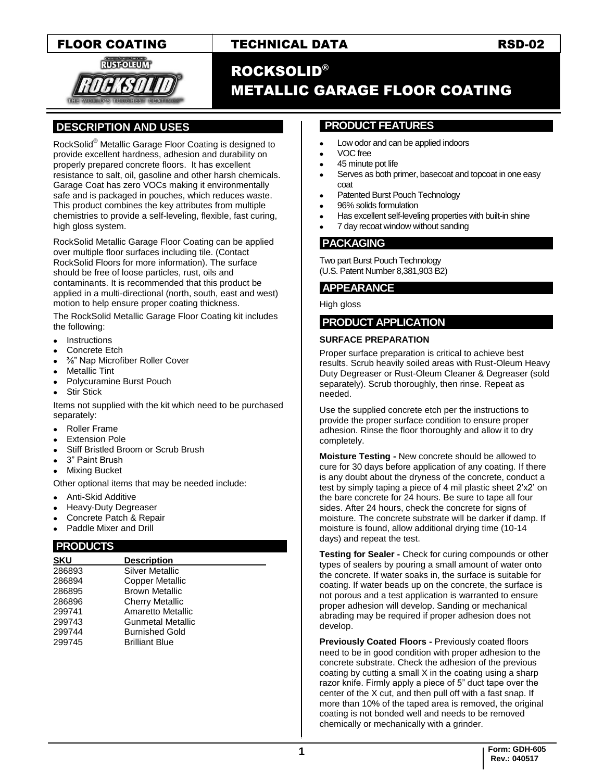

## FLOOR COATING TECHNICAL DATA RSD-02

# ROCKSOLID® METALLIC GARAGE FLOOR COATING

### **.DESCRIPTION AND USES .**

RockSolid® Metallic Garage Floor Coating is designed to provide excellent hardness, adhesion and durability on properly prepared concrete floors. It has excellent resistance to salt, oil, gasoline and other harsh chemicals. Garage Coat has zero VOCs making it environmentally safe and is packaged in pouches, which reduces waste. This product combines the key attributes from multiple chemistries to provide a self-leveling, flexible, fast curing, high gloss system.

RockSolid Metallic Garage Floor Coating can be applied over multiple floor surfaces including tile. (Contact RockSolid Floors for more information). The surface should be free of loose particles, rust, oils and contaminants. It is recommended that this product be applied in a multi-directional (north, south, east and west) motion to help ensure proper coating thickness.

The RockSolid Metallic Garage Floor Coating kit includes the following:

- Instructions
- Concrete Etch
- ⅜" Nap Microfiber Roller Cover
- Metallic Tint
- Polycuramine Burst Pouch
- Stir Stick

Items not supplied with the kit which need to be purchased separately:

- Roller Frame
- Extension Pole
- Stiff Bristled Broom or Scrub Brush
- 3" Paint Brush
- Mixing Bucket

Other optional items that may be needed include:

- Anti-Skid Additive
- Heavy-Duty Degreaser
- Concrete Patch & Repair
- Paddle Mixer and Drill

#### **.PRODUCTS .**

| <b>SKU</b> | <b>Description</b>       |  |
|------------|--------------------------|--|
| 286893     | <b>Silver Metallic</b>   |  |
| 286894     | Copper Metallic          |  |
| 286895     | <b>Brown Metallic</b>    |  |
| 286896     | <b>Cherry Metallic</b>   |  |
| 299741     | Amaretto Metallic        |  |
| 299743     | <b>Gunmetal Metallic</b> |  |
| 299744     | <b>Burnished Gold</b>    |  |
| 299745     | <b>Brilliant Blue</b>    |  |

#### **. PRODUCT FEATURES .**

- Low odor and can be applied indoors
- VOC free
- 45 minute pot life
- Serves as both primer, basecoat and topcoat in one easy coat
- Patented Burst Pouch Technology
- 96% solids formulation
- Has excellent self-leveling properties with built-in shine
- 7 day recoat window without sanding

#### **.PACKAGING .**

Two part Burst Pouch Technology (U.S. Patent Number 8,381,903 B2)

#### **.APPEARANCE .**

High gloss

#### **PRODUCT APPLICATION .**

#### **SURFACE PREPARATION**

Proper surface preparation is critical to achieve best results. Scrub heavily soiled areas with Rust-Oleum Heavy Duty Degreaser or Rust-Oleum Cleaner & Degreaser (sold separately). Scrub thoroughly, then rinse. Repeat as  $needed.$ 

Use the supplied concrete etch per the instructions to provide the proper surface condition to ensure proper adhesion. Rinse the floor thoroughly and allow it to dry completely.

**Moisture Testing -** New concrete should be allowed to cure for 30 days before application of any coating. If there is any doubt about the dryness of the concrete, conduct a test by simply taping a piece of 4 mil plastic sheet 2'x2' on the bare concrete for 24 hours. Be sure to tape all four sides. After 24 hours, check the concrete for signs of moisture. The concrete substrate will be darker if damp. If moisture is found, allow additional drying time (10-14 days) and repeat the test.

**Testing for Sealer -** Check for curing compounds or other types of sealers by pouring a small amount of water onto the concrete. If water soaks in, the surface is suitable for coating. If water beads up on the concrete, the surface is not porous and a test application is warranted to ensure proper adhesion will develop. Sanding or mechanical abrading may be required if proper adhesion does not develop.

**Previously Coated Floors -** Previously coated floors need to be in good condition with proper adhesion to the concrete substrate. Check the adhesion of the previous coating by cutting a small X in the coating using a sharp razor knife. Firmly apply a piece of 5" duct tape over the center of the X cut, and then pull off with a fast snap. If more than 10% of the taped area is removed, the original coating is not bonded well and needs to be removed chemically or mechanically with a grinder.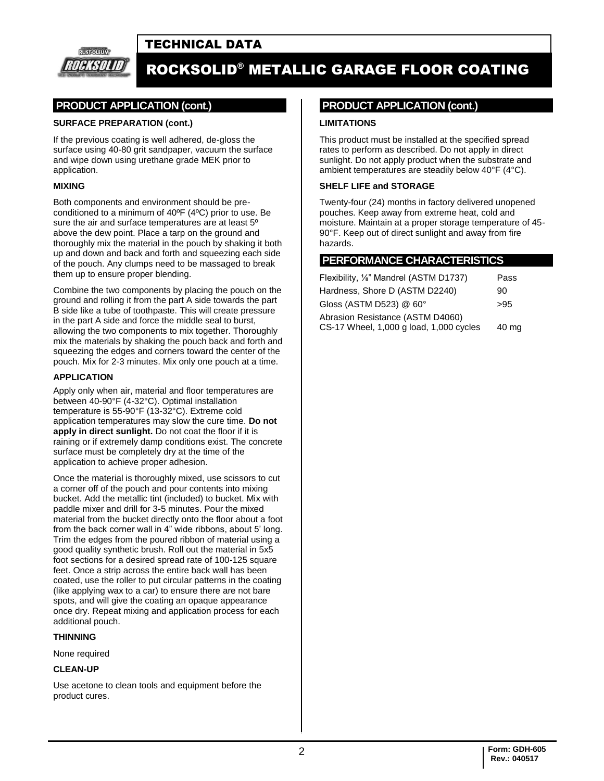## TECHNICAL DATA



# ROCKSOLID® METALLIC GARAGE FLOOR COATING

### **PRODUCT APPLICATION (cont.)**

#### **SURFACE PREPARATION (cont.)**

If the previous coating is well adhered, de-gloss the surface using 40-80 grit sandpaper, vacuum the surface and wipe down using urethane grade MEK prior to application.

#### **MIXING**

Both components and environment should be preconditioned to a minimum of 40ºF (4ºC) prior to use. Be sure the air and surface temperatures are at least 5º above the dew point. Place a tarp on the ground and thoroughly mix the material in the pouch by shaking it both up and down and back and forth and squeezing each side of the pouch. Any clumps need to be massaged to break them up to ensure proper blending.

Combine the two components by placing the pouch on the ground and rolling it from the part A side towards the part B side like a tube of toothpaste. This will create pressure in the part A side and force the middle seal to burst, allowing the two components to mix together. Thoroughly mix the materials by shaking the pouch back and forth and squeezing the edges and corners toward the center of the pouch. Mix for 2-3 minutes. Mix only one pouch at a time.

#### **APPLICATION**

Apply only when air, material and floor temperatures are between 40-90°F (4-32°C). Optimal installation temperature is 55-90°F (13-32°C). Extreme cold application temperatures may slow the cure time. **Do not apply in direct sunlight.** Do not coat the floor if it is raining or if extremely damp conditions exist. The concrete surface must be completely dry at the time of the application to achieve proper adhesion.

Once the material is thoroughly mixed, use scissors to cut a corner off of the pouch and pour contents into mixing bucket. Add the metallic tint (included) to bucket. Mix with paddle mixer and drill for 3-5 minutes. Pour the mixed material from the bucket directly onto the floor about a foot from the back corner wall in 4" wide ribbons, about 5' long. Trim the edges from the poured ribbon of material using a good quality synthetic brush. Roll out the material in 5x5 foot sections for a desired spread rate of 100-125 square feet. Once a strip across the entire back wall has been coated, use the roller to put circular patterns in the coating (like applying wax to a car) to ensure there are not bare spots, and will give the coating an opaque appearance once dry. Repeat mixing and application process for each additional pouch.

#### **THINNING**

None required

#### **CLEAN-UP**

Use acetone to clean tools and equipment before the product cures.

#### **.PRODUCT APPLICATION (cont.) .**

#### **LIMITATIONS**

This product must be installed at the specified spread rates to perform as described. Do not apply in direct sunlight. Do not apply product when the substrate and ambient temperatures are steadily below 40°F (4°C).

#### **SHELF LIFE and STORAGE**

Twenty-four (24) months in factory delivered unopened pouches. Keep away from extreme heat, cold and moisture. Maintain at a proper storage temperature of 45- 90°F. Keep out of direct sunlight and away from fire hazards.

#### **.PERFORMANCE CHARACTERISTICS .**

| Flexibility, 1/ <sub>8</sub> " Mandrel (ASTM D1737)                                  | Pass |  |  |  |
|--------------------------------------------------------------------------------------|------|--|--|--|
| Hardness, Shore D (ASTM D2240)                                                       | 90   |  |  |  |
| Gloss (ASTM D523) @ 60°                                                              | >95  |  |  |  |
| Abrasion Resistance (ASTM D4060)<br>CS-17 Wheel, 1,000 g load, 1,000 cycles<br>40 mg |      |  |  |  |